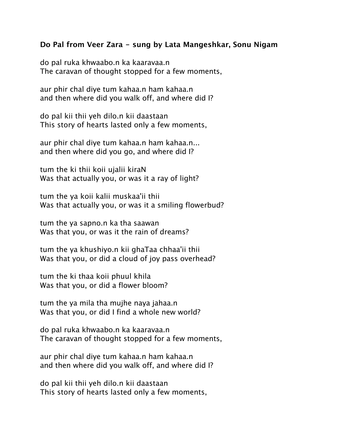## **Do Pal from Veer Zara - sung by Lata Mangeshkar, Sonu Nigam**

do pal ruka khwaabo.n ka kaaravaa.n The caravan of thought stopped for a few moments,

aur phir chal diye tum kahaa.n ham kahaa.n and then where did you walk off, and where did I?

do pal kii thii yeh dilo.n kii daastaan This story of hearts lasted only a few moments,

aur phir chal diye tum kahaa.n ham kahaa.n... and then where did you go, and where did I?

tum the ki thii koii ujalii kiraN Was that actually you, or was it a ray of light?

tum the ya koii kalii muskaa'ii thii Was that actually you, or was it a smiling flowerbud?

tum the ya sapno.n ka tha saawan Was that you, or was it the rain of dreams?

tum the ya khushiyo.n kii ghaTaa chhaa'ii thii Was that you, or did a cloud of joy pass overhead?

tum the ki thaa koii phuul khila Was that you, or did a flower bloom?

tum the ya mila tha mujhe naya jahaa.n Was that you, or did I find a whole new world?

do pal ruka khwaabo.n ka kaaravaa.n The caravan of thought stopped for a few moments,

aur phir chal diye tum kahaa.n ham kahaa.n and then where did you walk off, and where did I?

do pal kii thii yeh dilo.n kii daastaan This story of hearts lasted only a few moments,